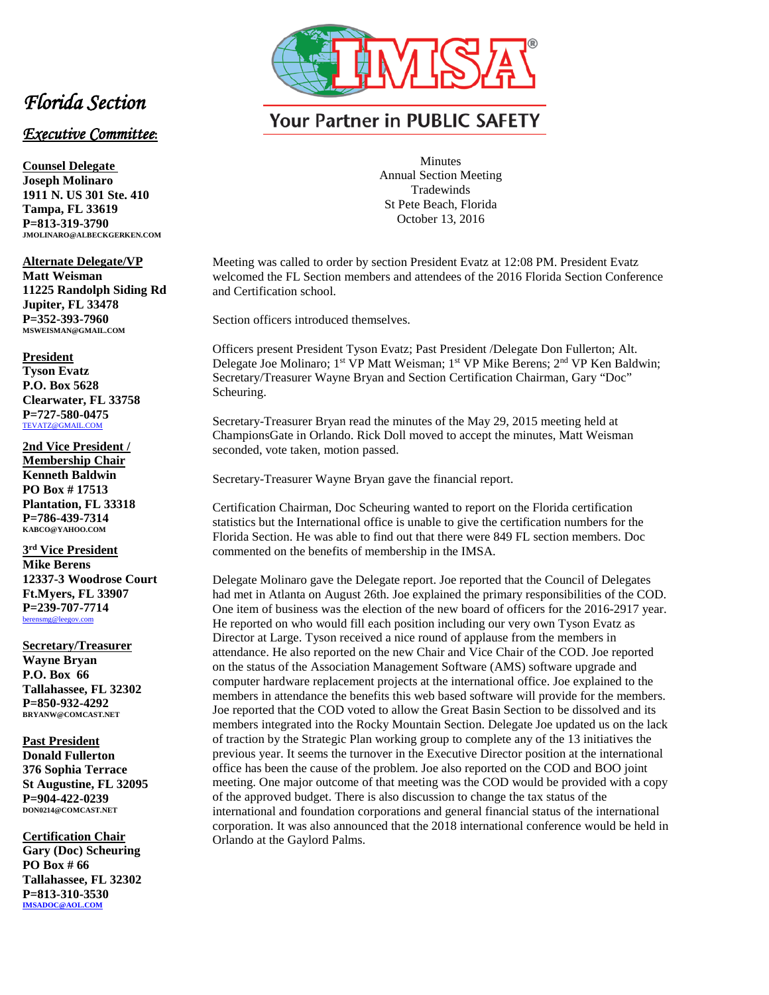

## **Your Partner in PUBLIC SAFETY**

Minutes Annual Section Meeting **Tradewinds** St Pete Beach, Florida October 13, 2016

Meeting was called to order by section President Evatz at 12:08 PM. President Evatz welcomed the FL Section members and attendees of the 2016 Florida Section Conference and Certification school.

Section officers introduced themselves.

Officers present President Tyson Evatz; Past President /Delegate Don Fullerton; Alt. Delegate Joe Molinaro; 1<sup>st</sup> VP Matt Weisman; 1<sup>st</sup> VP Mike Berens; 2<sup>nd</sup> VP Ken Baldwin; Secretary/Treasurer Wayne Bryan and Section Certification Chairman, Gary "Doc" Scheuring.

Secretary-Treasurer Bryan read the minutes of the May 29, 2015 meeting held at ChampionsGate in Orlando. Rick Doll moved to accept the minutes, Matt Weisman seconded, vote taken, motion passed.

Secretary-Treasurer Wayne Bryan gave the financial report.

Certification Chairman, Doc Scheuring wanted to report on the Florida certification statistics but the International office is unable to give the certification numbers for the Florida Section. He was able to find out that there were 849 FL section members. Doc commented on the benefits of membership in the IMSA.

Delegate Molinaro gave the Delegate report. Joe reported that the Council of Delegates had met in Atlanta on August 26th. Joe explained the primary responsibilities of the COD. One item of business was the election of the new board of officers for the 2016-2917 year. He reported on who would fill each position including our very own Tyson Evatz as Director at Large. Tyson received a nice round of applause from the members in attendance. He also reported on the new Chair and Vice Chair of the COD. Joe reported on the status of the Association Management Software (AMS) software upgrade and computer hardware replacement projects at the international office. Joe explained to the members in attendance the benefits this web based software will provide for the members. Joe reported that the COD voted to allow the Great Basin Section to be dissolved and its members integrated into the Rocky Mountain Section. Delegate Joe updated us on the lack of traction by the Strategic Plan working group to complete any of the 13 initiatives the previous year. It seems the turnover in the Executive Director position at the international office has been the cause of the problem. Joe also reported on the COD and BOO joint meeting. One major outcome of that meeting was the COD would be provided with a copy of the approved budget. There is also discussion to change the tax status of the international and foundation corporations and general financial status of the international corporation. It was also announced that the 2018 international conference would be held in Orlando at the Gaylord Palms.

## *Florida Section*

## *Executive Committee***:**

**Counsel Delegate Joseph Molinaro 1911 N. US 301 Ste. 410 Tampa, FL 33619 P=813-319-3790 JMOLINARO@ALBECKGERKEN.COM**

**Alternate Delegate/VP Matt Weisman 11225 Randolph Siding Rd Jupiter, FL 33478 P=352-393-7960 MSWEISMAN@GMAIL.COM**

## **President**

**Tyson Evatz P.O. Box 5628 Clearwater, FL 33758 P=727-580-0475** [TEVATZ@GMAIL.COM](mailto:TEVATZ@GMAIL.COM)

**2nd Vice President / Membership Chair Kenneth Baldwin PO Box # 17513 Plantation, FL 33318 P=786-439-7314 KABCO@YAHOO.COM**

**3rd Vice President Mike Berens 12337-3 Woodrose Court Ft.Myers, FL 33907 P=239-707-7714** [berensmg@leegov.com](mailto:TEVATZ@GMAIL.COM)

**Secretary/Treasurer Wayne Bryan P.O. Box 66 Tallahassee, FL 32302 P=850-932-4292 BRYANW@COMCAST.NET**

**Past President Donald Fullerton 376 Sophia Terrace St Augustine, FL 32095 P=904-422-0239 DON0214@COMCAST.NET**

**Certification Chair Gary (Doc) Scheuring PO Box # 66 Tallahassee, FL 32302 P=813-310-3530 [IMSADOC@AOL.COM](mailto:IMSADOC@AOL.COM)**